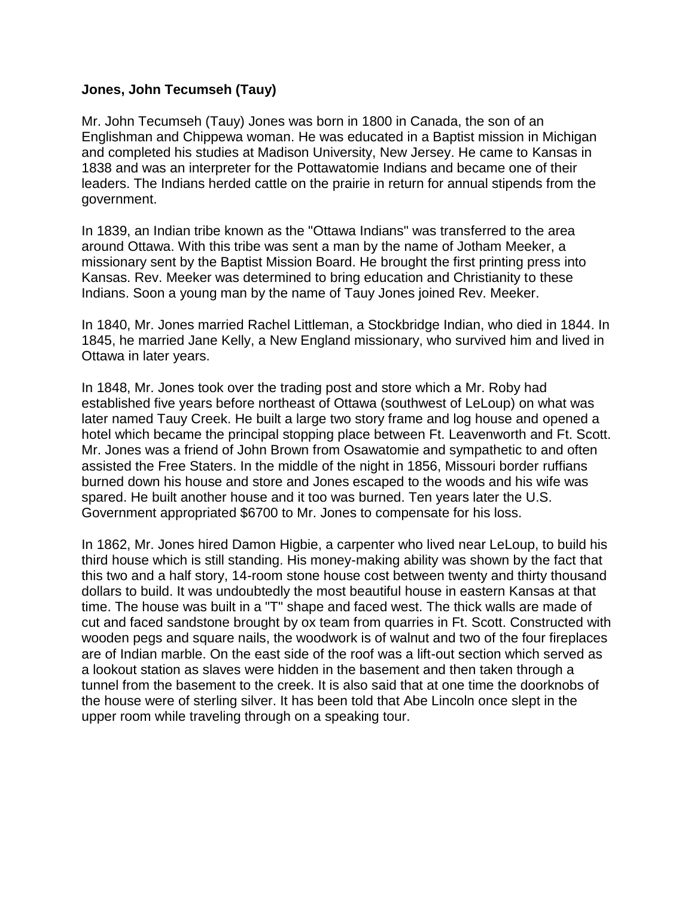## **Jones, John Tecumseh (Tauy)**

Mr. John Tecumseh (Tauy) Jones was born in 1800 in Canada, the son of an Englishman and Chippewa woman. He was educated in a Baptist mission in Michigan and completed his studies at Madison University, New Jersey. He came to Kansas in 1838 and was an interpreter for the Pottawatomie Indians and became one of their leaders. The Indians herded cattle on the prairie in return for annual stipends from the government.

In 1839, an Indian tribe known as the "Ottawa Indians" was transferred to the area around Ottawa. With this tribe was sent a man by the name of Jotham Meeker, a missionary sent by the Baptist Mission Board. He brought the first printing press into Kansas. Rev. Meeker was determined to bring education and Christianity to these Indians. Soon a young man by the name of Tauy Jones joined Rev. Meeker.

In 1840, Mr. Jones married Rachel Littleman, a Stockbridge Indian, who died in 1844. In 1845, he married Jane Kelly, a New England missionary, who survived him and lived in Ottawa in later years.

In 1848, Mr. Jones took over the trading post and store which a Mr. Roby had established five years before northeast of Ottawa (southwest of LeLoup) on what was later named Tauy Creek. He built a large two story frame and log house and opened a hotel which became the principal stopping place between Ft. Leavenworth and Ft. Scott. Mr. Jones was a friend of John Brown from Osawatomie and sympathetic to and often assisted the Free Staters. In the middle of the night in 1856, Missouri border ruffians burned down his house and store and Jones escaped to the woods and his wife was spared. He built another house and it too was burned. Ten years later the U.S. Government appropriated \$6700 to Mr. Jones to compensate for his loss.

In 1862, Mr. Jones hired Damon Higbie, a carpenter who lived near LeLoup, to build his third house which is still standing. His money-making ability was shown by the fact that this two and a half story, 14-room stone house cost between twenty and thirty thousand dollars to build. It was undoubtedly the most beautiful house in eastern Kansas at that time. The house was built in a "T" shape and faced west. The thick walls are made of cut and faced sandstone brought by ox team from quarries in Ft. Scott. Constructed with wooden pegs and square nails, the woodwork is of walnut and two of the four fireplaces are of Indian marble. On the east side of the roof was a lift-out section which served as a lookout station as slaves were hidden in the basement and then taken through a tunnel from the basement to the creek. It is also said that at one time the doorknobs of the house were of sterling silver. It has been told that Abe Lincoln once slept in the upper room while traveling through on a speaking tour.